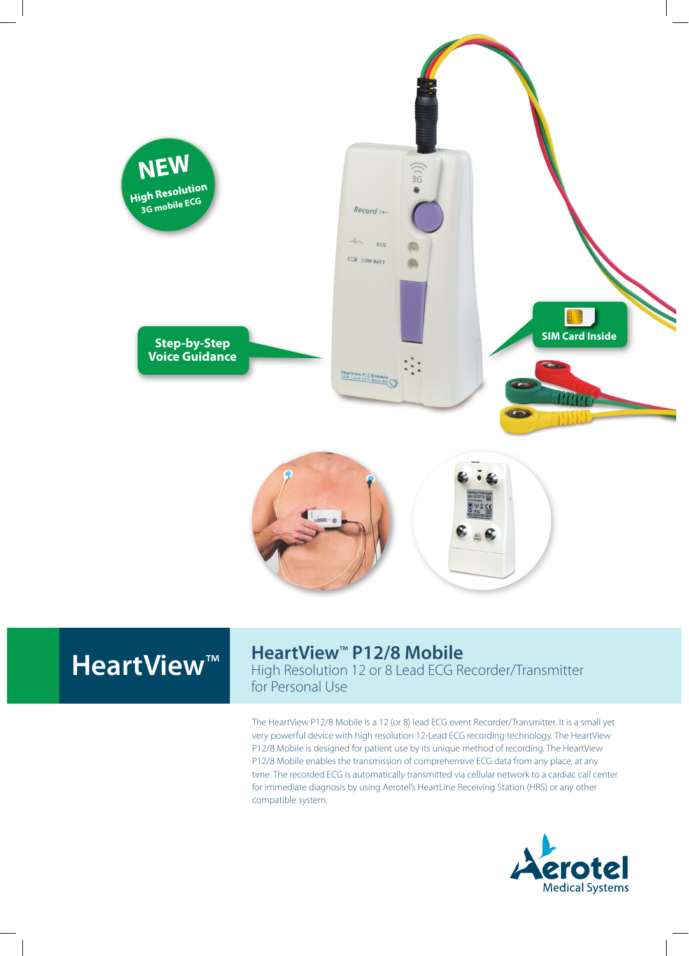





## HeartView<sup>™</sup> P12/8 Mobile

High Resolution 12 or 8 Lead ECG Recorder/Transmitter for Personal Use

The HeartView P12/8 Mobile is a 12 (or 8) lead ECG event Recorder/Transmitter. It is a small yet very powerful device with high resolution 12-Lead ECG recording technology. The HeartView P12/8 Mobile is designed for patient use by its unique method of recording. The HeartView P12/8 Mobile enables the transmission of comprehensive ECG data from any place, at any time. The recorded ECG is automatically transmitted via cellular network to a cardiac call center for immediate diagnosis by using Aerotel's HeartLine Receiving Station (HRS) or any other compatible system.